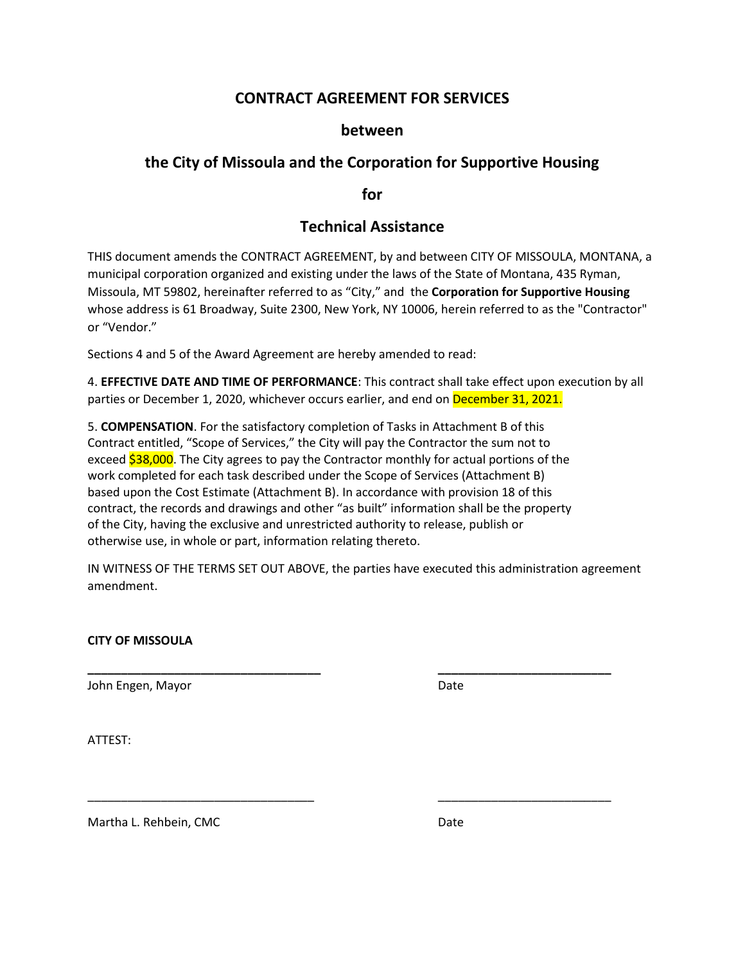## **CONTRACT AGREEMENT FOR SERVICES**

#### **between**

## **the City of Missoula and the Corporation for Supportive Housing**

**for**

# **Technical Assistance**

THIS document amends the CONTRACT AGREEMENT, by and between CITY OF MISSOULA, MONTANA, a municipal corporation organized and existing under the laws of the State of Montana, 435 Ryman, Missoula, MT 59802, hereinafter referred to as "City," and the **Corporation for Supportive Housing** whose address is 61 Broadway, Suite 2300, New York, NY 10006, herein referred to as the "Contractor" or "Vendor."

Sections 4 and 5 of the Award Agreement are hereby amended to read:

4. **EFFECTIVE DATE AND TIME OF PERFORMANCE**: This contract shall take effect upon execution by all parties or December 1, 2020, whichever occurs earlier, and end on December 31, 2021.

5. **COMPENSATION**. For the satisfactory completion of Tasks in Attachment B of this Contract entitled, "Scope of Services," the City will pay the Contractor the sum not to exceed \$38,000. The City agrees to pay the Contractor monthly for actual portions of the work completed for each task described under the Scope of Services (Attachment B) based upon the Cost Estimate (Attachment B). In accordance with provision 18 of this contract, the records and drawings and other "as built" information shall be the property of the City, having the exclusive and unrestricted authority to release, publish or otherwise use, in whole or part, information relating thereto.

IN WITNESS OF THE TERMS SET OUT ABOVE, the parties have executed this administration agreement amendment.

**\_\_\_\_\_\_\_\_\_\_\_\_\_\_\_\_\_\_\_\_\_\_\_\_\_\_\_\_\_\_\_\_\_\_\_ \_\_\_\_\_\_\_\_\_\_\_\_\_\_\_\_\_\_\_\_\_\_\_\_\_\_**

\_\_\_\_\_\_\_\_\_\_\_\_\_\_\_\_\_\_\_\_\_\_\_\_\_\_\_\_\_\_\_\_\_\_ \_\_\_\_\_\_\_\_\_\_\_\_\_\_\_\_\_\_\_\_\_\_\_\_\_\_

#### **CITY OF MISSOULA**

John Engen, Mayor Date and Date Date Date

ATTEST:

Martha L. Rehbein, CMC Date